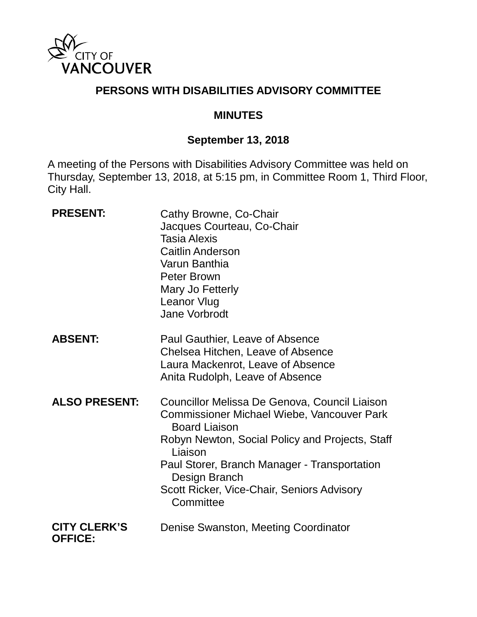

### **PERSONS WITH DISABILITIES ADVISORY COMMITTEE**

#### **MINUTES**

## **September 13, 2018**

A meeting of the Persons with Disabilities Advisory Committee was held on Thursday, September 13, 2018, at 5:15 pm, in Committee Room 1, Third Floor, City Hall.

| <b>PRESENT:</b>                       | Cathy Browne, Co-Chair<br>Jacques Courteau, Co-Chair<br><b>Tasia Alexis</b><br><b>Caitlin Anderson</b><br>Varun Banthia<br>Peter Brown<br>Mary Jo Fetterly<br>Leanor Vlug<br>Jane Vorbrodt                                                                                                                           |
|---------------------------------------|----------------------------------------------------------------------------------------------------------------------------------------------------------------------------------------------------------------------------------------------------------------------------------------------------------------------|
| <b>ABSENT:</b>                        | Paul Gauthier, Leave of Absence<br>Chelsea Hitchen, Leave of Absence<br>Laura Mackenrot, Leave of Absence<br>Anita Rudolph, Leave of Absence                                                                                                                                                                         |
| <b>ALSO PRESENT:</b>                  | Councillor Melissa De Genova, Council Liaison<br><b>Commissioner Michael Wiebe, Vancouver Park</b><br><b>Board Liaison</b><br>Robyn Newton, Social Policy and Projects, Staff<br>Liaison<br>Paul Storer, Branch Manager - Transportation<br>Design Branch<br>Scott Ricker, Vice-Chair, Seniors Advisory<br>Committee |
| <b>CITY CLERK'S</b><br><b>OFFICE:</b> | Denise Swanston, Meeting Coordinator                                                                                                                                                                                                                                                                                 |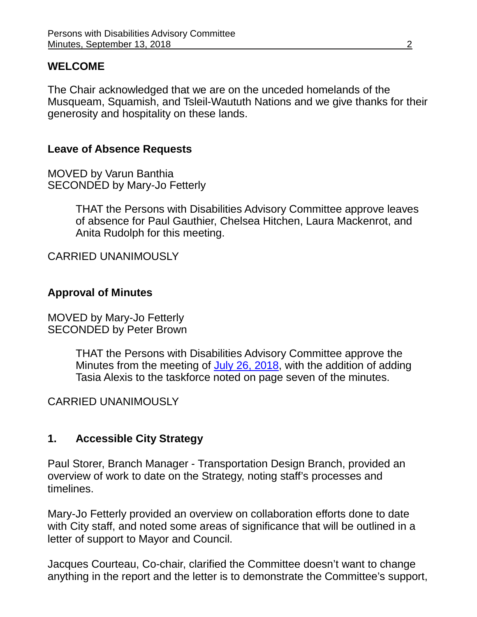### **WELCOME**

The Chair acknowledged that we are on the unceded homelands of the Musqueam, Squamish, and Tsleil-Waututh Nations and we give thanks for their generosity and hospitality on these lands.

## **Leave of Absence Requests**

MOVED by Varun Banthia SECONDED by Mary-Jo Fetterly

> THAT the Persons with Disabilities Advisory Committee approve leaves of absence for Paul Gauthier, Chelsea Hitchen, Laura Mackenrot, and Anita Rudolph for this meeting.

CARRIED UNANIMOUSLY

# **Approval of Minutes**

MOVED by Mary-Jo Fetterly SECONDED by Peter Brown

> THAT the Persons with Disabilities Advisory Committee approve the Minutes from the meeting of [July 26, 2018,](https://vancouver.ca/docs/council/pdad20180726min.pdf) with the addition of adding Tasia Alexis to the taskforce noted on page seven of the minutes.

### CARRIED UNANIMOUSLY

# **1. Accessible City Strategy**

Paul Storer, Branch Manager - Transportation Design Branch, provided an overview of work to date on the Strategy, noting staff's processes and timelines.

Mary-Jo Fetterly provided an overview on collaboration efforts done to date with City staff, and noted some areas of significance that will be outlined in a letter of support to Mayor and Council.

Jacques Courteau, Co-chair, clarified the Committee doesn't want to change anything in the report and the letter is to demonstrate the Committee's support,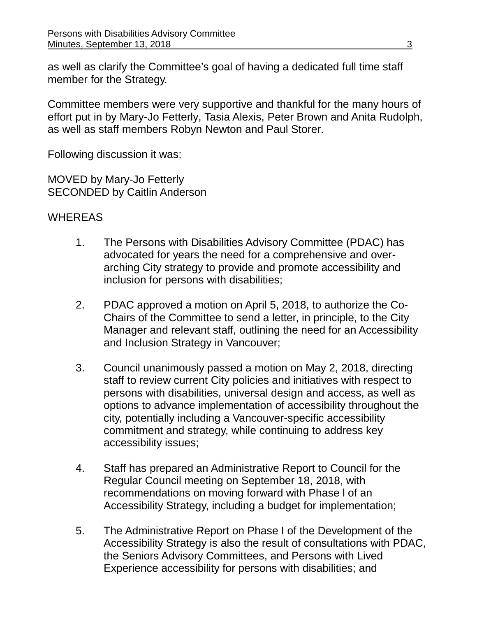as well as clarify the Committee's goal of having a dedicated full time staff member for the Strategy.

Committee members were very supportive and thankful for the many hours of effort put in by Mary-Jo Fetterly, Tasia Alexis, Peter Brown and Anita Rudolph, as well as staff members Robyn Newton and Paul Storer.

Following discussion it was:

MOVED by Mary-Jo Fetterly SECONDED by Caitlin Anderson

## **WHEREAS**

- 1. The Persons with Disabilities Advisory Committee (PDAC) has advocated for years the need for a comprehensive and overarching City strategy to provide and promote accessibility and inclusion for persons with disabilities;
- 2. PDAC approved a motion on April 5, 2018, to authorize the Co-Chairs of the Committee to send a letter, in principle, to the City Manager and relevant staff, outlining the need for an Accessibility and Inclusion Strategy in Vancouver;
- 3. Council unanimously passed a motion on May 2, 2018, directing staff to review current City policies and initiatives with respect to persons with disabilities, universal design and access, as well as options to advance implementation of accessibility throughout the city, potentially including a Vancouver-specific accessibility commitment and strategy, while continuing to address key accessibility issues;
- 4. Staff has prepared an Administrative Report to Council for the Regular Council meeting on September 18, 2018, with recommendations on moving forward with Phase l of an Accessibility Strategy, including a budget for implementation;
- 5. The Administrative Report on Phase I of the Development of the Accessibility Strategy is also the result of consultations with PDAC, the Seniors Advisory Committees, and Persons with Lived Experience accessibility for persons with disabilities; and